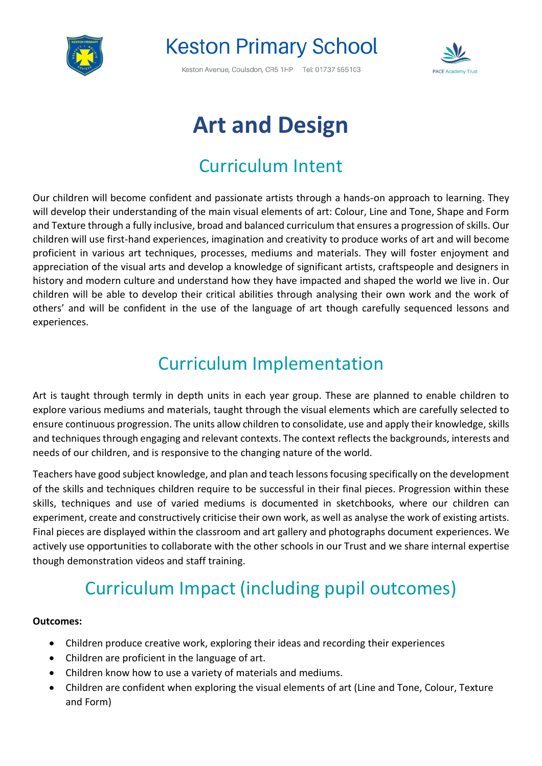

# **Keston Primary School**

Keston Avenue, Coulsdon, CR5 1HP Tel: 01737 555103



# **Art and Design**

### Curriculum Intent

Our children will become confident and passionate artists through a hands-on approach to learning. They will develop their understanding of the main visual elements of art: Colour, Line and Tone, Shape and Form and Texture through a fully inclusive, broad and balanced curriculum that ensures a progression of skills. Our children will use first-hand experiences, imagination and creativity to produce works of art and will become proficient in various art techniques, processes, mediums and materials. They will foster enjoyment and appreciation of the visual arts and develop a knowledge of significant artists, craftspeople and designers in history and modern culture and understand how they have impacted and shaped the world we live in. Our children will be able to develop their critical abilities through analysing their own work and the work of others' and will be confident in the use of the language of art though carefully sequenced lessons and experiences.

### Curriculum Implementation

Art is taught through termly in depth units in each year group. These are planned to enable children to explore various mediums and materials, taught through the visual elements which are carefully selected to ensure continuous progression. The units allow children to consolidate, use and apply their knowledge, skills and techniques through engaging and relevant contexts. The context reflects the backgrounds, interests and needs of our children, and is responsive to the changing nature of the world.

Teachers have good subject knowledge, and plan and teach lessons focusing specifically on the development of the skills and techniques children require to be successful in their final pieces. Progression within these skills, techniques and use of varied mediums is documented in sketchbooks, where our children can experiment, create and constructively criticise their own work, as well as analyse the work of existing artists. Final pieces are displayed within the classroom and art gallery and photographs document experiences. We actively use opportunities to collaborate with the other schools in our Trust and we share internal expertise though demonstration videos and staff training.

## Curriculum Impact (including pupil outcomes)

#### **Outcomes:**

- Children produce creative work, exploring their ideas and recording their experiences
- Children are proficient in the language of art.
- Children know how to use a variety of materials and mediums.
- Children are confident when exploring the visual elements of art (Line and Tone, Colour, Texture and Form)